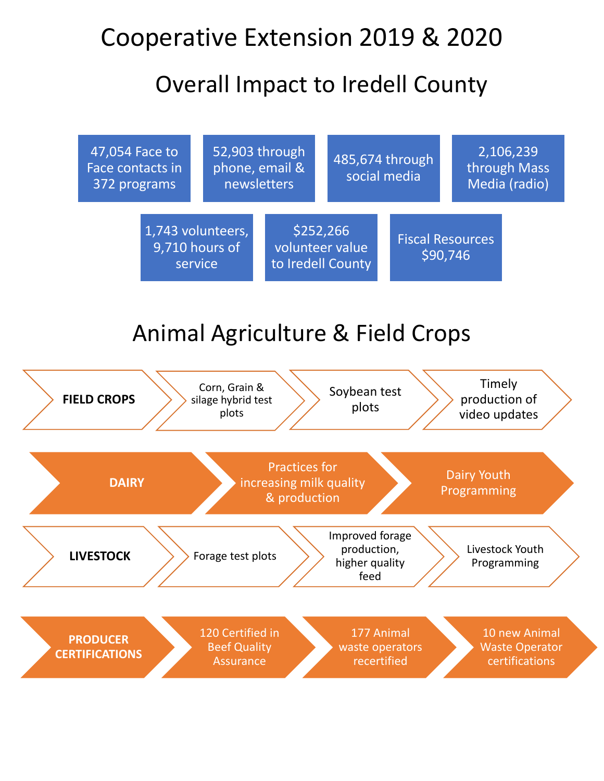## Cooperative Extension 2019 & 2020

#### Overall Impact to Iredell County



# Animal Agriculture & Field Crops

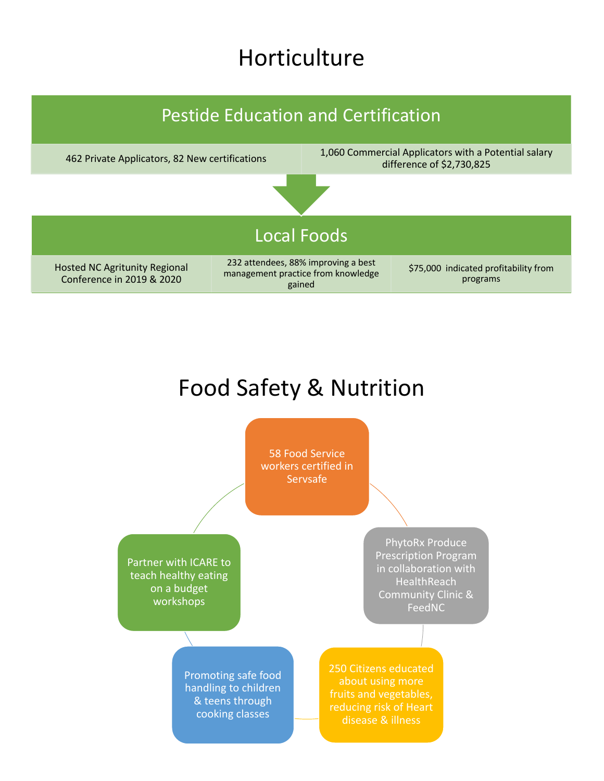#### Horticulture

![](_page_1_Figure_1.jpeg)

# Food Safety & Nutrition

![](_page_1_Figure_3.jpeg)